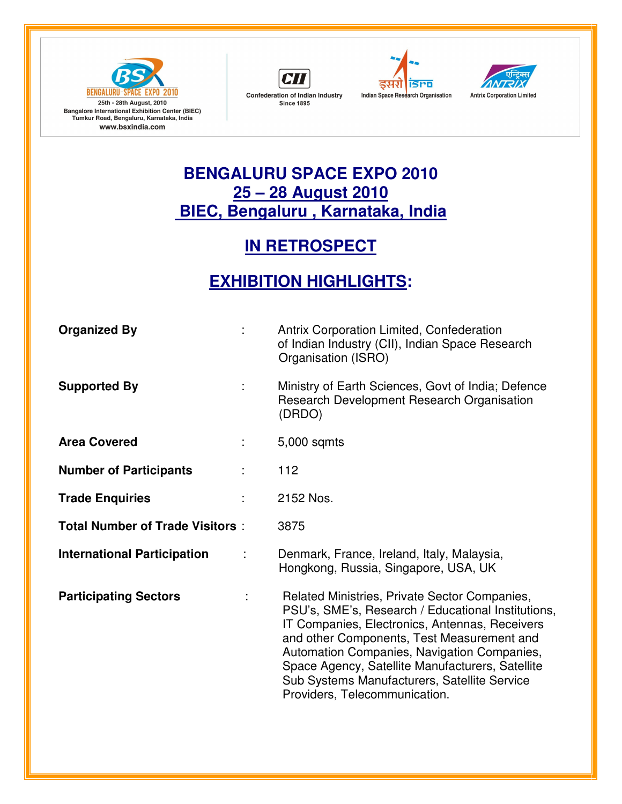







## **BENGALURU SPACE EXPO 2010 25 – 28 August 2010 BIEC, Bengaluru , Karnataka, India**

## **IN RETROSPECT**

## **EXHIBITION HIGHLIGHTS:**

| <b>Organized By</b>                    |   | Antrix Corporation Limited, Confederation<br>of Indian Industry (CII), Indian Space Research<br>Organisation (ISRO)                                                                                                                                                                                                                                                                     |
|----------------------------------------|---|-----------------------------------------------------------------------------------------------------------------------------------------------------------------------------------------------------------------------------------------------------------------------------------------------------------------------------------------------------------------------------------------|
| <b>Supported By</b>                    |   | Ministry of Earth Sciences, Govt of India; Defence<br>Research Development Research Organisation<br>(DRDO)                                                                                                                                                                                                                                                                              |
| <b>Area Covered</b>                    |   | 5,000 sqmts                                                                                                                                                                                                                                                                                                                                                                             |
| <b>Number of Participants</b>          | ÷ | 112                                                                                                                                                                                                                                                                                                                                                                                     |
| <b>Trade Enquiries</b>                 |   | 2152 Nos.                                                                                                                                                                                                                                                                                                                                                                               |
| <b>Total Number of Trade Visitors:</b> |   | 3875                                                                                                                                                                                                                                                                                                                                                                                    |
| <b>International Participation</b>     |   | Denmark, France, Ireland, Italy, Malaysia,<br>Hongkong, Russia, Singapore, USA, UK                                                                                                                                                                                                                                                                                                      |
| <b>Participating Sectors</b>           |   | Related Ministries, Private Sector Companies,<br>PSU's, SME's, Research / Educational Institutions,<br>IT Companies, Electronics, Antennas, Receivers<br>and other Components, Test Measurement and<br>Automation Companies, Navigation Companies,<br>Space Agency, Satellite Manufacturers, Satellite<br>Sub Systems Manufacturers, Satellite Service<br>Providers, Telecommunication. |